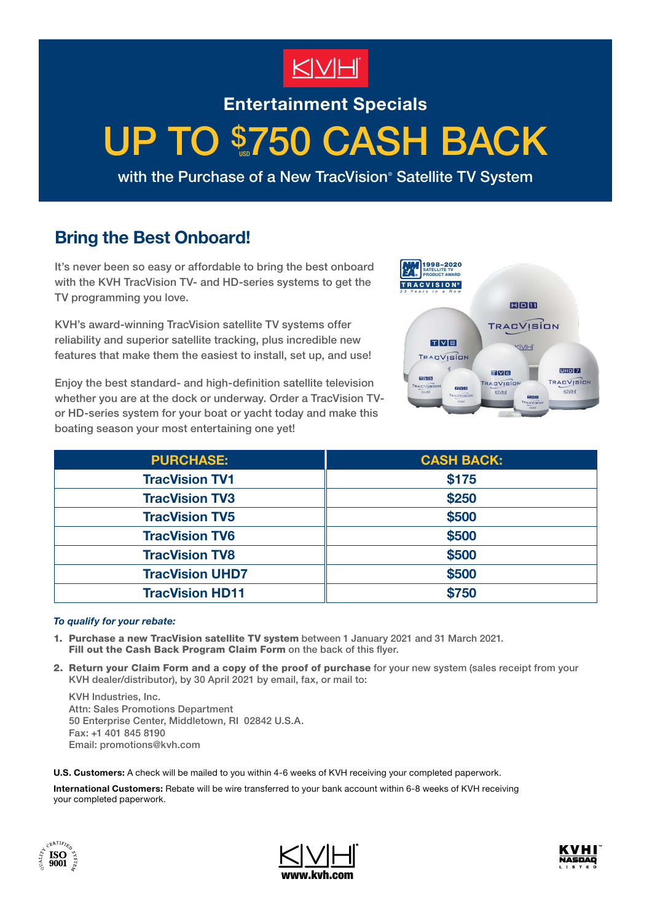

**Entertainment Specials**

# UP TO \$750 CASH BACK

with the Purchase of a New TracVision<sup>®</sup> Satellite TV System

# **Bring the Best Onboard!**

It's never been so easy or affordable to bring the best onboard with the KVH TracVision TV- and HD-series systems to get the TV programming you love.

KVH's award-winning TracVision satellite TV systems offer reliability and superior satellite tracking, plus incredible new features that make them the easiest to install, set up, and use!

Enjoy the best standard- and high-definition satellite television whether you are at the dock or underway. Order a TracVision TVor HD-series system for your boat or yacht today and make this boating season your most entertaining one yet!



| <b>PURCHASE:</b>       | <b>CASH BACK:</b> |
|------------------------|-------------------|
| <b>TracVision TV1</b>  | \$175             |
| <b>TracVision TV3</b>  | \$250             |
| <b>TracVision TV5</b>  | \$500             |
| <b>TracVision TV6</b>  | \$500             |
| <b>TracVision TV8</b>  | \$500             |
| <b>TracVision UHD7</b> | \$500             |
| <b>TracVision HD11</b> | \$750             |

### *To qualify for your rebate:*

- 1. Purchase a new TracVision satellite TV system between 1 January 2021 and 31 March 2021. Fill out the Cash Back Program Claim Form on the back of this flyer.
- 2. Return your Claim Form and a copy of the proof of purchase for your new system (sales receipt from your KVH dealer/distributor), by 30 April 2021 by email, fax, or mail to:

KVH Industries, Inc. Attn: Sales Promotions Department 50 Enterprise Center, Middletown, RI 02842 U.S.A. Fax: +1 401 845 8190 Email: promotions@kvh.com

**U.S. Customers:** A check will be mailed to you within 4-6 weeks of KVH receiving your completed paperwork.

**International Customers:** Rebate will be wire transferred to your bank account within 6-8 weeks of KVH receiving your completed paperwork.